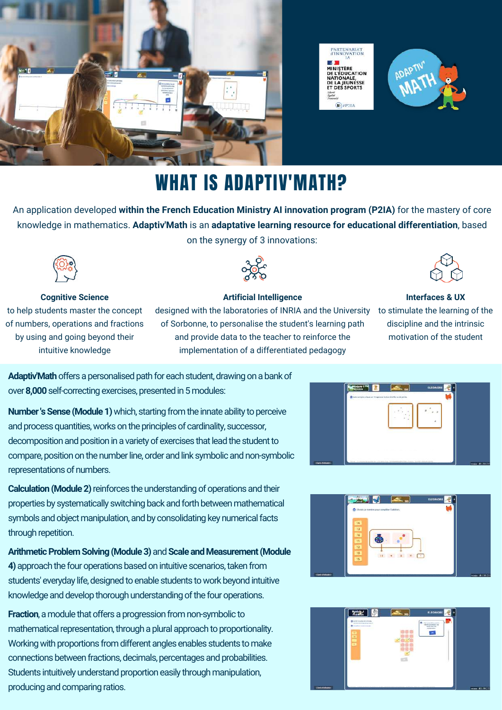





### WHAT IS ADAPTIV'MATH?

An application developed **within the French Education Ministry AI innovation program (P2IA)** for the mastery of core knowledge in mathematics. **Adaptiv'Math** is an **adaptative learning resource for educational differentiation**, based on the synergy of 3 innovations:



**Cognitive Science** to help students master the concept of numbers, operations and fractions by using and going beyond their intuitive knowledge



#### **Artificial Intelligence**

designed with the laboratories of INRIA and the University  $\;$  to stimulate the learning of the of Sorbonne, to personalise the student's learning path and provide data to the teacher to reinforce the implementation of a differentiated pedagogy



#### **Interfaces & UX**

discipline and the intrinsic motivation of the student

**Adaptiv'Math** offers a personalised path for each student, drawing on a bank of over **8,000** self-correcting exercises, presented in 5 modules:

**Number 's Sense (Module 1)** which, starting from the innate ability to perceive and process quantities, works on the principles of cardinality, successor, decomposition and position in a variety of exercises that lead the student to compare, position on the number line, order and link symbolic and non-symbolic representations of numbers.

**Calculation (Module 2)** reinforces the understanding of operations and their properties by systematically switching back and forth between mathematical symbols and object manipulation, and by consolidating key numerical facts through repetition.

**Arithmetic Problem Solving (Module 3)** and **Scale and Measurement (Module 4)**approach the four operations based on intuitive scenarios, taken from students' everyday life, designed to enable students to work beyond intuitive knowledge and develop thorough understanding of the four operations.

**www.evidence Fraction**, a module that offers a progression from non-symbolic to mathematical representation, through a plural approach to proportionality. Working with proportions from different angles enables students to make connections between fractions, decimals, percentages and probabilities. Students intuitively understand proportion easily through manipulation, producing and comparing ratios.